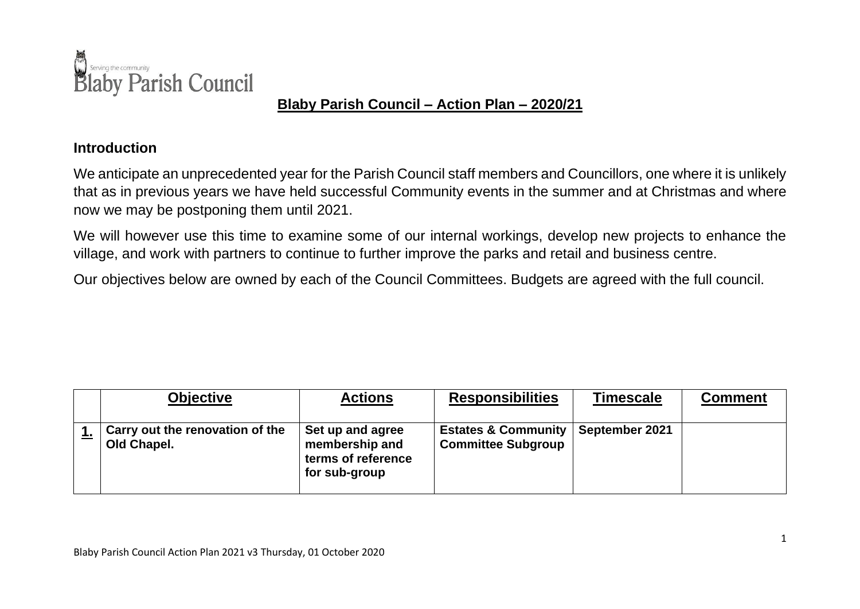

## **Blaby Parish Council – Action Plan – 2020/21**

## **Introduction**

We anticipate an unprecedented year for the Parish Council staff members and Councillors, one where it is unlikely that as in previous years we have held successful Community events in the summer and at Christmas and where now we may be postponing them until 2021.

We will however use this time to examine some of our internal workings, develop new projects to enhance the village, and work with partners to continue to further improve the parks and retail and business centre.

Our objectives below are owned by each of the Council Committees. Budgets are agreed with the full council.

| <b>Objective</b>                               | <b>Actions</b>                                                            | <b>Responsibilities</b>                                     | <b>Timescale</b> | <b>Comment</b> |
|------------------------------------------------|---------------------------------------------------------------------------|-------------------------------------------------------------|------------------|----------------|
| Carry out the renovation of the<br>Old Chapel. | Set up and agree<br>membership and<br>terms of reference<br>for sub-group | <b>Estates &amp; Community</b><br><b>Committee Subgroup</b> | September 2021   |                |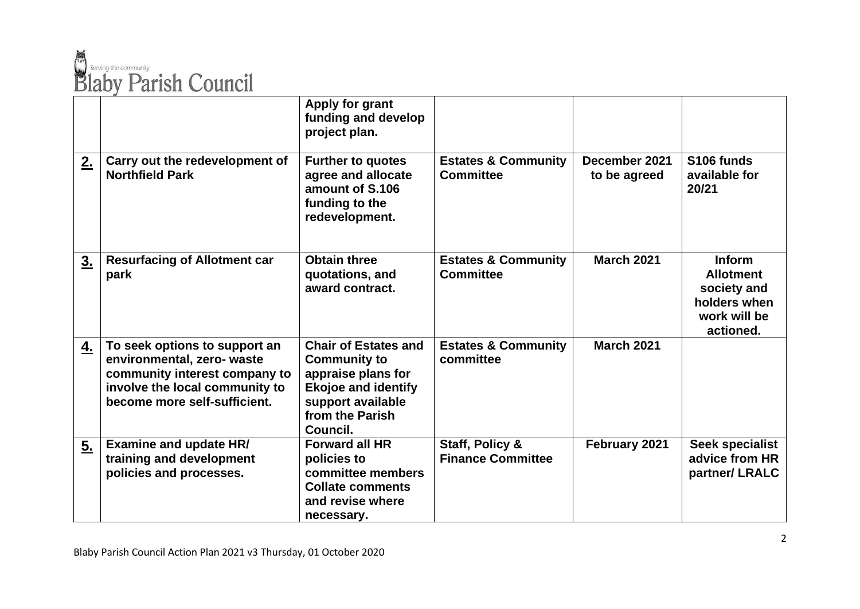

|    |                                                                                                                                                                | Apply for grant<br>funding and develop<br>project plan.                                                                                                    |                                                    |                               |                                                                                               |
|----|----------------------------------------------------------------------------------------------------------------------------------------------------------------|------------------------------------------------------------------------------------------------------------------------------------------------------------|----------------------------------------------------|-------------------------------|-----------------------------------------------------------------------------------------------|
| 2. | Carry out the redevelopment of<br><b>Northfield Park</b>                                                                                                       | <b>Further to quotes</b><br>agree and allocate<br>amount of S.106<br>funding to the<br>redevelopment.                                                      | <b>Estates &amp; Community</b><br><b>Committee</b> | December 2021<br>to be agreed | S106 funds<br>available for<br>20/21                                                          |
| 3. | <b>Resurfacing of Allotment car</b><br>park                                                                                                                    | <b>Obtain three</b><br>quotations, and<br>award contract.                                                                                                  | <b>Estates &amp; Community</b><br><b>Committee</b> | <b>March 2021</b>             | <b>Inform</b><br><b>Allotment</b><br>society and<br>holders when<br>work will be<br>actioned. |
| 4. | To seek options to support an<br>environmental, zero- waste<br>community interest company to<br>involve the local community to<br>become more self-sufficient. | <b>Chair of Estates and</b><br><b>Community to</b><br>appraise plans for<br><b>Ekojoe and identify</b><br>support available<br>from the Parish<br>Council. | <b>Estates &amp; Community</b><br>committee        | <b>March 2021</b>             |                                                                                               |
| 5. | <b>Examine and update HR/</b><br>training and development<br>policies and processes.                                                                           | <b>Forward all HR</b><br>policies to<br>committee members<br><b>Collate comments</b><br>and revise where<br>necessary.                                     | Staff, Policy &<br><b>Finance Committee</b>        | February 2021                 | Seek specialist<br>advice from HR<br>partner/LRALC                                            |